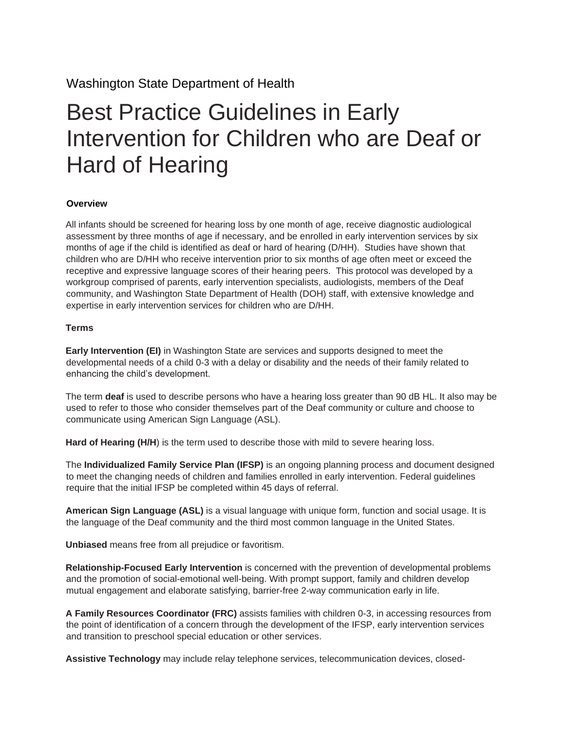Washington State Department of Health

# Best Practice Guidelines in Early Intervention for Children who are Deaf or Hard of Hearing

#### **Overview**

All infants should be screened for hearing loss by one month of age, receive diagnostic audiological assessment by three months of age if necessary, and be enrolled in early intervention services by six months of age if the child is identified as deaf or hard of hearing (D/HH). Studies have shown that children who are D/HH who receive intervention prior to six months of age often meet or exceed the receptive and expressive language scores of their hearing peers. This protocol was developed by a workgroup comprised of parents, early intervention specialists, audiologists, members of the Deaf community, and Washington State Department of Health (DOH) staff, with extensive knowledge and expertise in early intervention services for children who are D/HH.

#### **Terms**

**Early Intervention (EI)** in Washington State are services and supports designed to meet the developmental needs of a child 0-3 with a delay or disability and the needs of their family related to enhancing the child's development.

The term **deaf** is used to describe persons who have a hearing loss greater than 90 dB HL. It also may be used to refer to those who consider themselves part of the Deaf community or culture and choose to communicate using American Sign Language (ASL).

Hard of Hearing (H/H) is the term used to describe those with mild to severe hearing loss.

The **Individualized Family Service Plan (IFSP)** is an ongoing planning process and document designed to meet the changing needs of children and families enrolled in early intervention. Federal guidelines require that the initial IFSP be completed within 45 days of referral.

**American Sign Language (ASL)** is a visual language with unique form, function and social usage. It is the language of the Deaf community and the third most common language in the United States.

**Unbiased** means free from all prejudice or favoritism.

**Relationship-Focused Early Intervention** is concerned with the prevention of developmental problems and the promotion of social-emotional well-being. With prompt support, family and children develop mutual engagement and elaborate satisfying, barrier-free 2-way communication early in life.

**A Family Resources Coordinator (FRC)** assists families with children 0-3, in accessing resources from the point of identification of a concern through the development of the IFSP, early intervention services and transition to preschool special education or other services.

**Assistive Technology** may include relay telephone services, telecommunication devices, closed-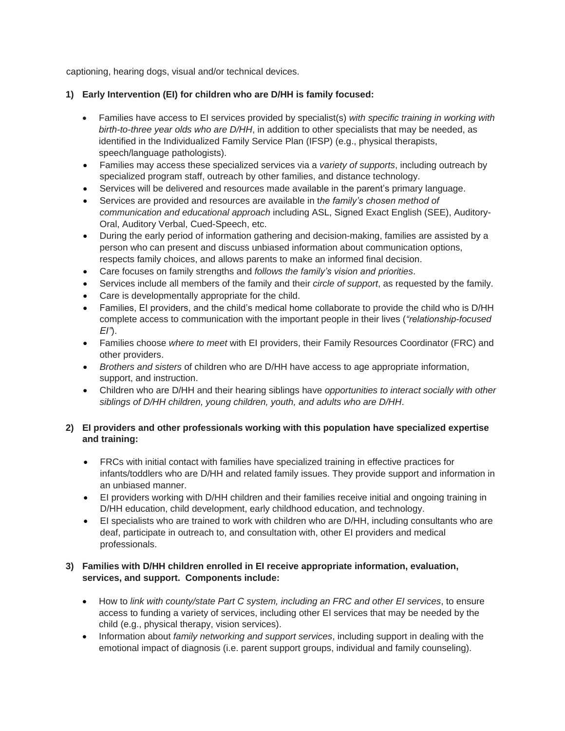captioning, hearing dogs, visual and/or technical devices.

## **1) Early Intervention (EI) for children who are D/HH is family focused:**

- Families have access to EI services provided by specialist(s) *with specific training in working with birth-to-three year olds who are D/HH*, in addition to other specialists that may be needed, as identified in the Individualized Family Service Plan (IFSP) (e.g., physical therapists, speech/language pathologists).
- Families may access these specialized services via a *variety of supports*, including outreach by specialized program staff, outreach by other families, and distance technology.
- Services will be delivered and resources made available in the parent's primary language.
- Services are provided and resources are available in t*he family's chosen method of communication and educational approach* including ASL, Signed Exact English (SEE), Auditory-Oral, Auditory Verbal, Cued-Speech, etc.
- During the early period of information gathering and decision-making, families are assisted by a person who can present and discuss unbiased information about communication options, respects family choices, and allows parents to make an informed final decision.
- Care focuses on family strengths and *follows the family's vision and priorities*.
- Services include all members of the family and their *circle of support*, as requested by the family.
- Care is developmentally appropriate for the child.
- Families, EI providers, and the child's medical home collaborate to provide the child who is D/HH complete access to communication with the important people in their lives (*"relationship-focused EI"*).
- Families choose *where to meet* with EI providers, their Family Resources Coordinator (FRC) and other providers.
- *Brothers and sisters* of children who are D/HH have access to age appropriate information, support, and instruction.
- Children who are D/HH and their hearing siblings have *opportunities to interact socially with other siblings of D/HH children, young children, youth, and adults who are D/HH*.

#### **2) EI providers and other professionals working with this population have specialized expertise and training:**

- FRCs with initial contact with families have specialized training in effective practices for infants/toddlers who are D/HH and related family issues. They provide support and information in an unbiased manner.
- EI providers working with D/HH children and their families receive initial and ongoing training in D/HH education, child development, early childhood education, and technology.
- EI specialists who are trained to work with children who are D/HH, including consultants who are deaf, participate in outreach to, and consultation with, other EI providers and medical professionals.

## **3) Families with D/HH children enrolled in EI receive appropriate information, evaluation, services, and support. Components include:**

- How to *link with county/state Part C system, including an FRC and other EI services*, to ensure access to funding a variety of services, including other EI services that may be needed by the child (e.g., physical therapy, vision services).
- Information about *family networking and support services*, including support in dealing with the emotional impact of diagnosis (i.e. parent support groups, individual and family counseling).